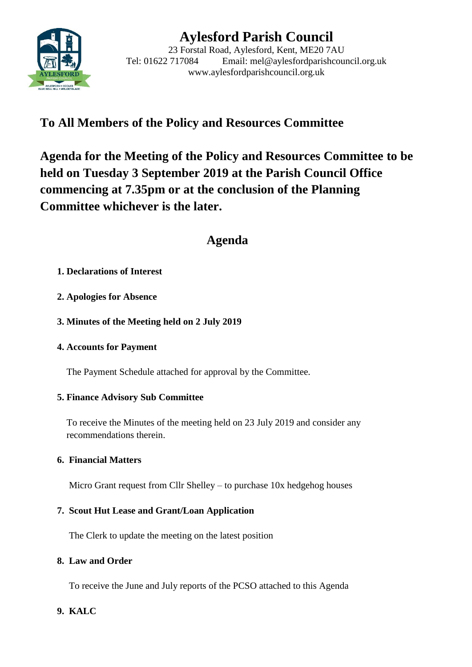

# **Aylesford Parish Council**

23 Forstal Road, Aylesford, Kent, ME20 7AU Tel: 01622 717084 Email: mel@aylesfordparishcouncil.org.uk www.aylesfordparishcouncil.org.uk

## **To All Members of the Policy and Resources Committee**

**Agenda for the Meeting of the Policy and Resources Committee to be held on Tuesday 3 September 2019 at the Parish Council Office commencing at 7.35pm or at the conclusion of the Planning Committee whichever is the later.**

## **Agenda**

## **1. Declarations of Interest**

- **2. Apologies for Absence**
- **3. Minutes of the Meeting held on 2 July 2019**
- **4. Accounts for Payment**

The Payment Schedule attached for approval by the Committee.

## **5. Finance Advisory Sub Committee**

To receive the Minutes of the meeting held on 23 July 2019 and consider any recommendations therein.

#### **6. Financial Matters**

Micro Grant request from Cllr Shelley – to purchase 10x hedgehog houses

## **7. Scout Hut Lease and Grant/Loan Application**

The Clerk to update the meeting on the latest position

#### **8. Law and Order**

To receive the June and July reports of the PCSO attached to this Agenda

## **9. KALC**